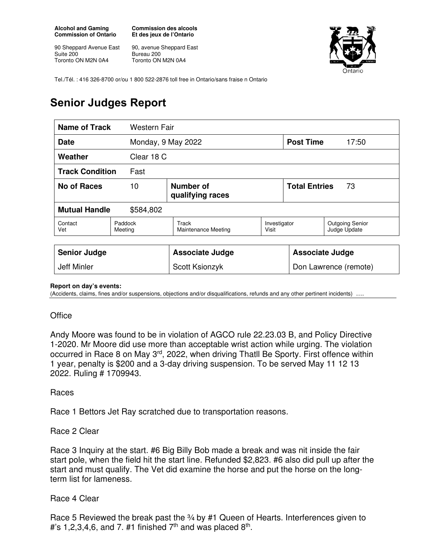**Alcohol and Gaming Commission of Ontario** 

90 Sheppard Avenue East Suite 200 Toronto ON M2N 0A4

**Commission des alcools Et des jeux de l'Ontario** 

90, avenue Sheppard East Bureau 200 Toronto ON M2N 0A4



Tel./Tél. : 416 326-8700 or/ou 1 800 522-2876 toll free in Ontario/sans fraise n Ontario

# **Senior Judges Report**

| Name of Track                     | <b>Western Fair</b> |                                     |                       |                            |                                        |
|-----------------------------------|---------------------|-------------------------------------|-----------------------|----------------------------|----------------------------------------|
| Monday, 9 May 2022<br><b>Date</b> |                     |                                     |                       | <b>Post Time</b>           | 17:50                                  |
| Weather                           | Clear 18 C          |                                     |                       |                            |                                        |
| <b>Track Condition</b><br>Fast    |                     |                                     |                       |                            |                                        |
| No of Races                       | 10                  | Number of<br>qualifying races       |                       | <b>Total Entries</b><br>73 |                                        |
| <b>Mutual Handle</b><br>\$584,802 |                     |                                     |                       |                            |                                        |
| Contact<br>Vet                    | Paddock<br>Meeting  | Track<br><b>Maintenance Meeting</b> | Investigator<br>Visit |                            | <b>Outgoing Senior</b><br>Judge Update |
|                                   |                     |                                     |                       |                            |                                        |
| <b>Senior Judge</b>               |                     | <b>Associate Judge</b>              |                       | <b>Associate Judge</b>     |                                        |
| Jeff Minler                       |                     | Scott Ksionzyk                      |                       | Don Lawrence (remote)      |                                        |

#### **Report on day's events:**

(Accidents, claims, fines and/or suspensions, objections and/or disqualifications, refunds and any other pertinent incidents)

### **Office**

Andy Moore was found to be in violation of AGCO rule 22.23.03 B, and Policy Directive 1-2020. Mr Moore did use more than acceptable wrist action while urging. The violation occurred in Race 8 on May 3rd, 2022, when driving Thatll Be Sporty. First offence within 1 year, penalty is \$200 and a 3-day driving suspension. To be served May 11 12 13 2022. Ruling # 1709943.

### Races

Race 1 Bettors Jet Ray scratched due to transportation reasons.

## Race 2 Clear

Race 3 Inquiry at the start. #6 Big Billy Bob made a break and was nit inside the fair start pole, when the field hit the start line. Refunded \$2,823. #6 also did pull up after the start and must qualify. The Vet did examine the horse and put the horse on the longterm list for lameness.

## Race 4 Clear

Race 5 Reviewed the break past the 3/4 by #1 Queen of Hearts. Interferences given to #'s 1,2,3,4,6, and 7. #1 finished  $7<sup>th</sup>$  and was placed  $8<sup>th</sup>$ .